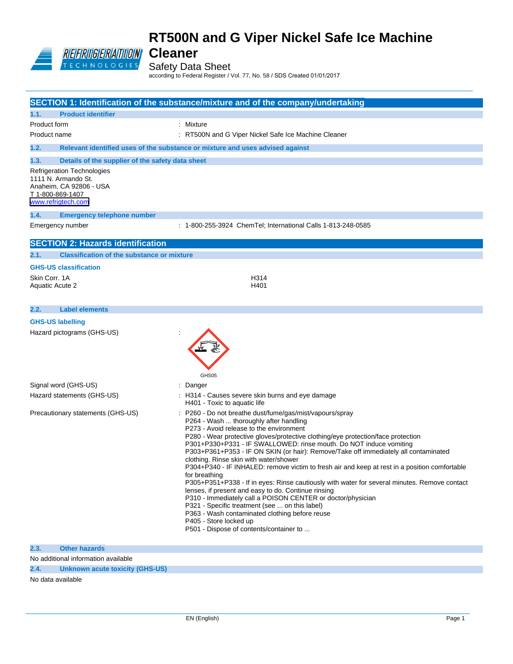

Safety Data Sheet

according to Federal Register / Vol. 77, No. 58 / SDS Created 01/01/2017

|                        |                                                                                                                        | SECTION 1: Identification of the substance/mixture and of the company/undertaking                                                                                                                                                                                                                                                                                                                                                                                                                                                                                                                                                                                                                                                                                                                                                                                                                                                                       |
|------------------------|------------------------------------------------------------------------------------------------------------------------|---------------------------------------------------------------------------------------------------------------------------------------------------------------------------------------------------------------------------------------------------------------------------------------------------------------------------------------------------------------------------------------------------------------------------------------------------------------------------------------------------------------------------------------------------------------------------------------------------------------------------------------------------------------------------------------------------------------------------------------------------------------------------------------------------------------------------------------------------------------------------------------------------------------------------------------------------------|
| 1.1.                   | <b>Product identifier</b>                                                                                              |                                                                                                                                                                                                                                                                                                                                                                                                                                                                                                                                                                                                                                                                                                                                                                                                                                                                                                                                                         |
| Product form           |                                                                                                                        | : Mixture                                                                                                                                                                                                                                                                                                                                                                                                                                                                                                                                                                                                                                                                                                                                                                                                                                                                                                                                               |
| Product name           |                                                                                                                        | : RT500N and G Viper Nickel Safe Ice Machine Cleaner                                                                                                                                                                                                                                                                                                                                                                                                                                                                                                                                                                                                                                                                                                                                                                                                                                                                                                    |
| 1.2.                   |                                                                                                                        | Relevant identified uses of the substance or mixture and uses advised against                                                                                                                                                                                                                                                                                                                                                                                                                                                                                                                                                                                                                                                                                                                                                                                                                                                                           |
| 1.3.                   | Details of the supplier of the safety data sheet                                                                       |                                                                                                                                                                                                                                                                                                                                                                                                                                                                                                                                                                                                                                                                                                                                                                                                                                                                                                                                                         |
|                        | Refrigeration Technologies<br>1111 N. Armando St.<br>Anaheim, CA 92806 - USA<br>T 1-800-869-1407<br>www.refrigtech.com |                                                                                                                                                                                                                                                                                                                                                                                                                                                                                                                                                                                                                                                                                                                                                                                                                                                                                                                                                         |
| 1.4.                   | <b>Emergency telephone number</b>                                                                                      |                                                                                                                                                                                                                                                                                                                                                                                                                                                                                                                                                                                                                                                                                                                                                                                                                                                                                                                                                         |
|                        | Emergency number                                                                                                       | : 1-800-255-3924 ChemTel; International Calls 1-813-248-0585                                                                                                                                                                                                                                                                                                                                                                                                                                                                                                                                                                                                                                                                                                                                                                                                                                                                                            |
|                        | <b>SECTION 2: Hazards identification</b>                                                                               |                                                                                                                                                                                                                                                                                                                                                                                                                                                                                                                                                                                                                                                                                                                                                                                                                                                                                                                                                         |
| 2.1.                   | <b>Classification of the substance or mixture</b>                                                                      |                                                                                                                                                                                                                                                                                                                                                                                                                                                                                                                                                                                                                                                                                                                                                                                                                                                                                                                                                         |
|                        | <b>GHS-US classification</b>                                                                                           |                                                                                                                                                                                                                                                                                                                                                                                                                                                                                                                                                                                                                                                                                                                                                                                                                                                                                                                                                         |
| Skin Corr, 1A          |                                                                                                                        | H314                                                                                                                                                                                                                                                                                                                                                                                                                                                                                                                                                                                                                                                                                                                                                                                                                                                                                                                                                    |
| <b>Aquatic Acute 2</b> |                                                                                                                        | H401                                                                                                                                                                                                                                                                                                                                                                                                                                                                                                                                                                                                                                                                                                                                                                                                                                                                                                                                                    |
| 2.2.                   | <b>Label elements</b>                                                                                                  |                                                                                                                                                                                                                                                                                                                                                                                                                                                                                                                                                                                                                                                                                                                                                                                                                                                                                                                                                         |
|                        | <b>GHS-US labelling</b>                                                                                                |                                                                                                                                                                                                                                                                                                                                                                                                                                                                                                                                                                                                                                                                                                                                                                                                                                                                                                                                                         |
|                        | Hazard pictograms (GHS-US)                                                                                             | GHS05                                                                                                                                                                                                                                                                                                                                                                                                                                                                                                                                                                                                                                                                                                                                                                                                                                                                                                                                                   |
|                        | Signal word (GHS-US)                                                                                                   | : Danger                                                                                                                                                                                                                                                                                                                                                                                                                                                                                                                                                                                                                                                                                                                                                                                                                                                                                                                                                |
|                        | Hazard statements (GHS-US)                                                                                             | : H314 - Causes severe skin burns and eye damage<br>H401 - Toxic to aquatic life                                                                                                                                                                                                                                                                                                                                                                                                                                                                                                                                                                                                                                                                                                                                                                                                                                                                        |
|                        | Precautionary statements (GHS-US)                                                                                      | P260 - Do not breathe dust/fume/gas/mist/vapours/spray<br>P264 - Wash  thoroughly after handling<br>P273 - Avoid release to the environment<br>P280 - Wear protective gloves/protective clothing/eye protection/face protection<br>P301+P330+P331 - IF SWALLOWED: rinse mouth. Do NOT induce vomiting<br>P303+P361+P353 - IF ON SKIN (or hair): Remove/Take off immediately all contaminated<br>clothing. Rinse skin with water/shower<br>P304+P340 - IF INHALED: remove victim to fresh air and keep at rest in a position comfortable<br>for breathing<br>P305+P351+P338 - If in eyes: Rinse cautiously with water for several minutes. Remove contact<br>lenses, if present and easy to do. Continue rinsing<br>P310 - Immediately call a POISON CENTER or doctor/physician<br>P321 - Specific treatment (see  on this label)<br>P363 - Wash contaminated clothing before reuse<br>P405 - Store locked up<br>P501 - Dispose of contents/container to |
| 2.3.                   | <b>Other hazards</b>                                                                                                   |                                                                                                                                                                                                                                                                                                                                                                                                                                                                                                                                                                                                                                                                                                                                                                                                                                                                                                                                                         |
|                        | No additional information available                                                                                    |                                                                                                                                                                                                                                                                                                                                                                                                                                                                                                                                                                                                                                                                                                                                                                                                                                                                                                                                                         |

**2.4. Unknown acute toxicity (GHS-US)**

No data available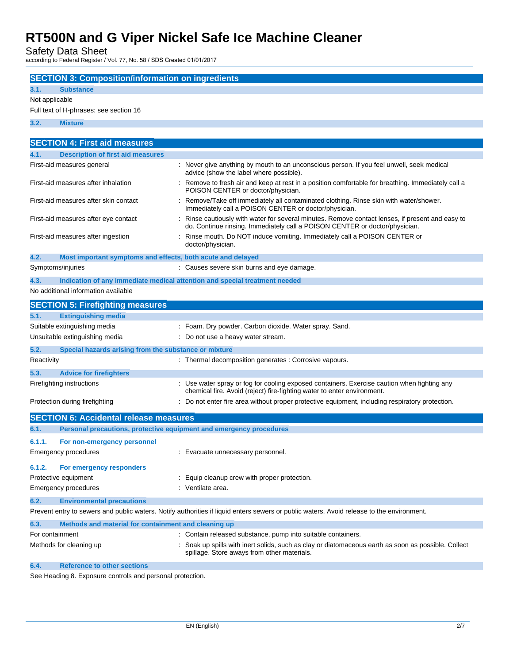Safety Data Sheet

according to Federal Register / Vol. 77, No. 58 / SDS Created 01/01/2017

|                         | <b>SECTION 3: Composition/information on ingredients</b>                   |                                                                                                                                                                                 |  |  |
|-------------------------|----------------------------------------------------------------------------|---------------------------------------------------------------------------------------------------------------------------------------------------------------------------------|--|--|
|                         | <b>Substance</b>                                                           |                                                                                                                                                                                 |  |  |
| 3.1.                    |                                                                            |                                                                                                                                                                                 |  |  |
|                         | Not applicable<br>Full text of H-phrases: see section 16                   |                                                                                                                                                                                 |  |  |
| 3.2.                    | <b>Mixture</b>                                                             |                                                                                                                                                                                 |  |  |
|                         |                                                                            |                                                                                                                                                                                 |  |  |
|                         | <b>SECTION 4: First aid measures</b>                                       |                                                                                                                                                                                 |  |  |
| 4.1.                    | <b>Description of first aid measures</b>                                   |                                                                                                                                                                                 |  |  |
|                         | First-aid measures general                                                 | : Never give anything by mouth to an unconscious person. If you feel unwell, seek medical<br>advice (show the label where possible).                                            |  |  |
|                         | First-aid measures after inhalation                                        | : Remove to fresh air and keep at rest in a position comfortable for breathing. Immediately call a<br>POISON CENTER or doctor/physician.                                        |  |  |
|                         | First-aid measures after skin contact                                      | : Remove/Take off immediately all contaminated clothing. Rinse skin with water/shower.<br>Immediately call a POISON CENTER or doctor/physician.                                 |  |  |
|                         | First-aid measures after eye contact                                       | : Rinse cautiously with water for several minutes. Remove contact lenses, if present and easy to<br>do. Continue rinsing. Immediately call a POISON CENTER or doctor/physician. |  |  |
|                         | First-aid measures after ingestion                                         | : Rinse mouth. Do NOT induce vomiting. Immediately call a POISON CENTER or<br>doctor/physician.                                                                                 |  |  |
| 4.2.                    | Most important symptoms and effects, both acute and delayed                |                                                                                                                                                                                 |  |  |
| Symptoms/injuries       |                                                                            | : Causes severe skin burns and eye damage.                                                                                                                                      |  |  |
| 4.3.                    | Indication of any immediate medical attention and special treatment needed |                                                                                                                                                                                 |  |  |
|                         | No additional information available                                        |                                                                                                                                                                                 |  |  |
|                         | <b>SECTION 5: Firefighting measures</b>                                    |                                                                                                                                                                                 |  |  |
| 5.1.                    | <b>Extinguishing media</b>                                                 |                                                                                                                                                                                 |  |  |
|                         | Suitable extinguishing media                                               | : Foam. Dry powder. Carbon dioxide. Water spray. Sand.                                                                                                                          |  |  |
|                         | Unsuitable extinguishing media                                             | : Do not use a heavy water stream.                                                                                                                                              |  |  |
| 5.2.                    | Special hazards arising from the substance or mixture                      |                                                                                                                                                                                 |  |  |
| Reactivity              |                                                                            | : Thermal decomposition generates : Corrosive vapours.                                                                                                                          |  |  |
|                         |                                                                            |                                                                                                                                                                                 |  |  |
| 5.3.                    | <b>Advice for firefighters</b>                                             |                                                                                                                                                                                 |  |  |
|                         | Firefighting instructions                                                  | : Use water spray or fog for cooling exposed containers. Exercise caution when fighting any<br>chemical fire. Avoid (reject) fire-fighting water to enter environment.          |  |  |
|                         | Protection during firefighting                                             | : Do not enter fire area without proper protective equipment, including respiratory protection.                                                                                 |  |  |
|                         | <b>SECTION 6: Accidental release measures</b>                              |                                                                                                                                                                                 |  |  |
| 6.1.                    | Personal precautions, protective equipment and emergency procedures        |                                                                                                                                                                                 |  |  |
| 6.1.1.                  | For non-emergency personnel                                                |                                                                                                                                                                                 |  |  |
|                         | Emergency procedures                                                       | : Evacuate unnecessary personnel.                                                                                                                                               |  |  |
| 6.1.2.                  | For emergency responders                                                   |                                                                                                                                                                                 |  |  |
|                         | Protective equipment                                                       | : Equip cleanup crew with proper protection.                                                                                                                                    |  |  |
|                         | <b>Emergency procedures</b>                                                | : Ventilate area.                                                                                                                                                               |  |  |
| 6.2.                    | <b>Environmental precautions</b>                                           |                                                                                                                                                                                 |  |  |
|                         |                                                                            | Prevent entry to sewers and public waters. Notify authorities if liquid enters sewers or public waters. Avoid release to the environment.                                       |  |  |
| 6.3.                    | Methods and material for containment and cleaning up                       |                                                                                                                                                                                 |  |  |
| For containment         |                                                                            | : Contain released substance, pump into suitable containers.                                                                                                                    |  |  |
| Methods for cleaning up |                                                                            | : Soak up spills with inert solids, such as clay or diatomaceous earth as soon as possible. Collect<br>spillage. Store aways from other materials.                              |  |  |

### **6.4. Reference to other sections**

See Heading 8. Exposure controls and personal protection.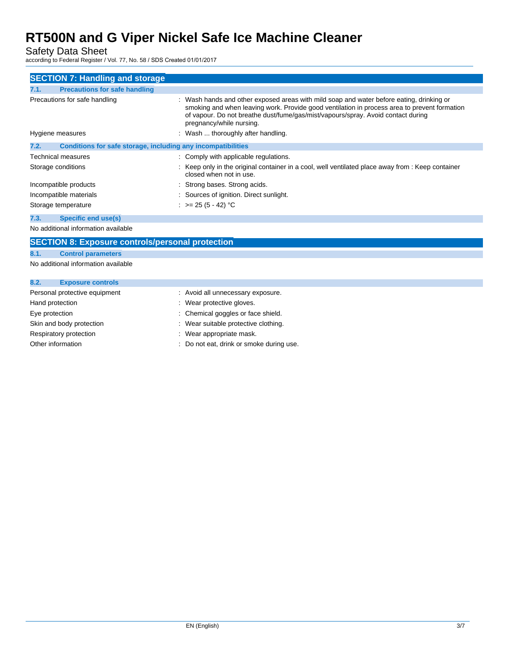Safety Data Sheet

according to Federal Register / Vol. 77, No. 58 / SDS Created 01/01/2017

| <b>SECTION 7: Handling and storage</b>                               |                                                                                                                                                                                                                                                                                                          |  |  |
|----------------------------------------------------------------------|----------------------------------------------------------------------------------------------------------------------------------------------------------------------------------------------------------------------------------------------------------------------------------------------------------|--|--|
| <b>Precautions for safe handling</b><br>7.1.                         |                                                                                                                                                                                                                                                                                                          |  |  |
| Precautions for safe handling                                        | : Wash hands and other exposed areas with mild soap and water before eating, drinking or<br>smoking and when leaving work. Provide good ventilation in process area to prevent formation<br>of vapour. Do not breathe dust/fume/gas/mist/vapours/spray. Avoid contact during<br>pregnancy/while nursing. |  |  |
| Hygiene measures                                                     | : Wash  thoroughly after handling.                                                                                                                                                                                                                                                                       |  |  |
| Conditions for safe storage, including any incompatibilities<br>7.2. |                                                                                                                                                                                                                                                                                                          |  |  |
| Technical measures                                                   | : Comply with applicable regulations.                                                                                                                                                                                                                                                                    |  |  |
| Storage conditions                                                   | : Keep only in the original container in a cool, well ventilated place away from : Keep container<br>closed when not in use.                                                                                                                                                                             |  |  |
| Incompatible products                                                | : Strong bases. Strong acids.                                                                                                                                                                                                                                                                            |  |  |
| Incompatible materials                                               | : Sources of ignition. Direct sunlight.                                                                                                                                                                                                                                                                  |  |  |
| Storage temperature                                                  | : $> = 25 (5 - 42) °C$                                                                                                                                                                                                                                                                                   |  |  |
| Specific end use(s)<br>7.3.                                          |                                                                                                                                                                                                                                                                                                          |  |  |
|                                                                      |                                                                                                                                                                                                                                                                                                          |  |  |

No additional information available

No additional information available

| 8.2.                          | <b>Exposure controls</b> |                                        |
|-------------------------------|--------------------------|----------------------------------------|
| Personal protective equipment |                          | : Avoid all unnecessary exposure.      |
| Hand protection               |                          | : Wear protective gloves.              |
| Eye protection                |                          | : Chemical goggles or face shield.     |
|                               | Skin and body protection | : Wear suitable protective clothing.   |
|                               | Respiratory protection   | : Wear appropriate mask.               |
|                               | Other information        | Do not eat, drink or smoke during use. |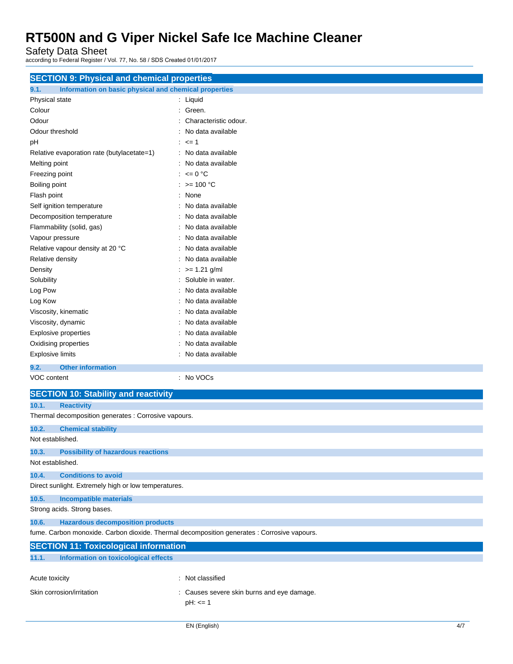Safety Data Sheet

according to Federal Register / Vol. 77, No. 58 / SDS Created 01/01/2017

| <b>SECTION 9: Physical and chemical properties</b>                                          |                                            |  |  |
|---------------------------------------------------------------------------------------------|--------------------------------------------|--|--|
| Information on basic physical and chemical properties<br>9.1.                               |                                            |  |  |
| Physical state                                                                              | : Liquid                                   |  |  |
| Colour                                                                                      | : Green.                                   |  |  |
| Odour                                                                                       | : Characteristic odour.                    |  |  |
| Odour threshold                                                                             | : No data available                        |  |  |
| pH                                                                                          | $: z = 1$                                  |  |  |
| Relative evaporation rate (butylacetate=1)                                                  | : No data available                        |  |  |
| Melting point                                                                               | : No data available                        |  |  |
| Freezing point                                                                              | : $\leq 0$ °C                              |  |  |
| Boiling point                                                                               | : >= 100 °C                                |  |  |
| Flash point                                                                                 | : None                                     |  |  |
| Self ignition temperature                                                                   | : No data available                        |  |  |
| Decomposition temperature                                                                   | : No data available                        |  |  |
| Flammability (solid, gas)                                                                   | : No data available                        |  |  |
| Vapour pressure                                                                             | : No data available                        |  |  |
| Relative vapour density at 20 °C                                                            | : No data available                        |  |  |
| Relative density                                                                            | : No data available                        |  |  |
| Density                                                                                     | $\therefore$ >= 1.21 g/ml                  |  |  |
| Solubility                                                                                  | : Soluble in water.                        |  |  |
| Log Pow                                                                                     | : No data available                        |  |  |
| Log Kow                                                                                     | : No data available                        |  |  |
| Viscosity, kinematic                                                                        | : No data available                        |  |  |
| Viscosity, dynamic                                                                          | : No data available                        |  |  |
| <b>Explosive properties</b>                                                                 | : No data available                        |  |  |
| Oxidising properties                                                                        | : No data available                        |  |  |
| <b>Explosive limits</b>                                                                     | : No data available                        |  |  |
| <b>Other information</b><br>9.2.                                                            |                                            |  |  |
| VOC content                                                                                 | : No VOCs                                  |  |  |
| <b>SECTION 10: Stability and reactivity</b>                                                 |                                            |  |  |
| 10.1.<br><b>Reactivity</b>                                                                  |                                            |  |  |
| Thermal decomposition generates : Corrosive vapours.                                        |                                            |  |  |
| 10.2.<br><b>Chemical stability</b>                                                          |                                            |  |  |
| Not established.                                                                            |                                            |  |  |
| 10.3.<br><b>Possibility of hazardous reactions</b><br>Not established.                      |                                            |  |  |
| 10.4.<br><b>Conditions to avoid</b>                                                         |                                            |  |  |
| Direct sunlight. Extremely high or low temperatures.                                        |                                            |  |  |
| 10.5.<br><b>Incompatible materials</b>                                                      |                                            |  |  |
| Strong acids. Strong bases.                                                                 |                                            |  |  |
| 10.6.<br><b>Hazardous decomposition products</b>                                            |                                            |  |  |
| fume. Carbon monoxide. Carbon dioxide. Thermal decomposition generates : Corrosive vapours. |                                            |  |  |
| <b>SECTION 11: Toxicological information</b>                                                |                                            |  |  |
| 11.1.<br>Information on toxicological effects                                               |                                            |  |  |
| Acute toxicity                                                                              | : Not classified                           |  |  |
| Skin corrosion/irritation                                                                   | : Causes severe skin burns and eye damage. |  |  |
|                                                                                             | $pH: \leq 1$                               |  |  |
|                                                                                             |                                            |  |  |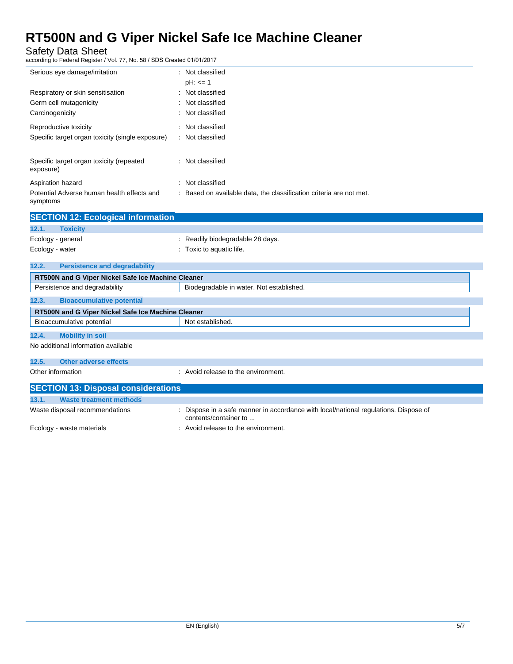Safety Data Sheet

according to Federal Register / Vol. 77, No. 58 / SDS Created 01/01/2017

| Serious eye damage/irritation                          | : Not classified<br>$pH: \le 1$                                     |
|--------------------------------------------------------|---------------------------------------------------------------------|
| Respiratory or skin sensitisation                      | : Not classified                                                    |
| Germ cell mutagenicity                                 | : Not classified                                                    |
| Carcinogenicity                                        | : Not classified                                                    |
| Reproductive toxicity                                  | : Not classified                                                    |
| Specific target organ toxicity (single exposure)       | : Not classified                                                    |
| Specific target organ toxicity (repeated<br>exposure)  | : Not classified                                                    |
| Aspiration hazard                                      | : Not classified                                                    |
| Potential Adverse human health effects and<br>symptoms | : Based on available data, the classification criteria are not met. |

|                 | <b>SECTION 12: Ecological information</b> |                                  |  |  |
|-----------------|-------------------------------------------|----------------------------------|--|--|
| 12.1.           | <b>Toxicity</b>                           |                                  |  |  |
|                 | Ecology - general                         | : Readily biodegradable 28 days. |  |  |
| Ecology - water |                                           | : Toxic to aquatic life.         |  |  |
|                 |                                           |                                  |  |  |
| 12.2.           | <b>Persistence and degradability</b>      |                                  |  |  |

| RT500N and G Viper Nickel Safe Ice Machine Cleaner |                                          |  |  |
|----------------------------------------------------|------------------------------------------|--|--|
| Persistence and degradability                      | Biodegradable in water. Not established. |  |  |
| <b>Bioaccumulative potential</b><br>12.3.          |                                          |  |  |
| RT500N and G Viper Nickel Safe Ice Machine Cleaner |                                          |  |  |
| Bioaccumulative potential                          | Not established.                         |  |  |
| <b>Mobility in soil</b><br>12.4.                   |                                          |  |  |
| No additional information available                |                                          |  |  |
| <b>Other adverse effects</b><br>12.5.              |                                          |  |  |
| Other information                                  | : Avoid release to the environment.      |  |  |
| <b>SECTION 13: Disposal considerations</b>         |                                          |  |  |
| 42.4<br>Waato traatmant mathada                    |                                          |  |  |

| 13.1. | Waste treatment methods        |                                                                                                             |
|-------|--------------------------------|-------------------------------------------------------------------------------------------------------------|
|       | Waste disposal recommendations | Dispose in a safe manner in accordance with local/national regulations. Dispose of<br>contents/container to |
|       | Ecology - waste materials      | Avoid release to the environment.                                                                           |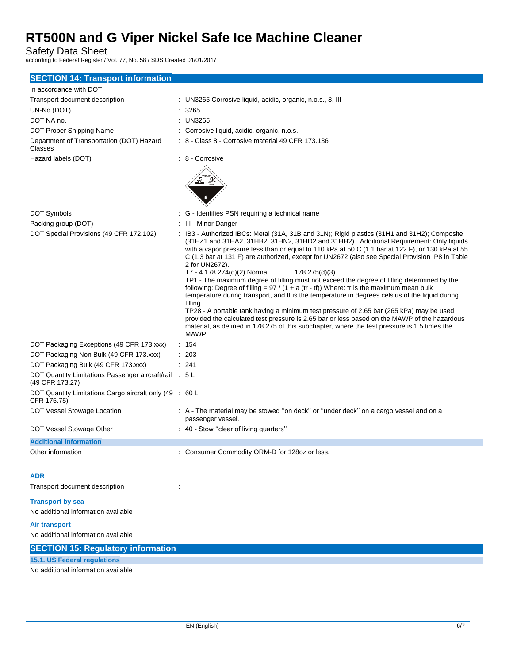Safety Data Sheet

according to Federal Register / Vol. 77, No. 58 / SDS Created 01/01/2017

| <b>SECTION 14: Transport information</b> |  |  |
|------------------------------------------|--|--|
|------------------------------------------|--|--|

| In accordance with DOT                                                    |                                                                                                                                                                                                                                                                                                                                                                                                                                                                                                                                                                                                                                                                                                                                                                                                                                                                                                                                                                                                                                                                              |
|---------------------------------------------------------------------------|------------------------------------------------------------------------------------------------------------------------------------------------------------------------------------------------------------------------------------------------------------------------------------------------------------------------------------------------------------------------------------------------------------------------------------------------------------------------------------------------------------------------------------------------------------------------------------------------------------------------------------------------------------------------------------------------------------------------------------------------------------------------------------------------------------------------------------------------------------------------------------------------------------------------------------------------------------------------------------------------------------------------------------------------------------------------------|
| Transport document description                                            | : UN3265 Corrosive liquid, acidic, organic, n.o.s., 8, III                                                                                                                                                                                                                                                                                                                                                                                                                                                                                                                                                                                                                                                                                                                                                                                                                                                                                                                                                                                                                   |
| UN-No.(DOT)                                                               | : 3265                                                                                                                                                                                                                                                                                                                                                                                                                                                                                                                                                                                                                                                                                                                                                                                                                                                                                                                                                                                                                                                                       |
| DOT NA no.                                                                | : UN3265                                                                                                                                                                                                                                                                                                                                                                                                                                                                                                                                                                                                                                                                                                                                                                                                                                                                                                                                                                                                                                                                     |
| DOT Proper Shipping Name                                                  | : Corrosive liquid, acidic, organic, n.o.s.                                                                                                                                                                                                                                                                                                                                                                                                                                                                                                                                                                                                                                                                                                                                                                                                                                                                                                                                                                                                                                  |
| Department of Transportation (DOT) Hazard<br>Classes                      | : 8 - Class 8 - Corrosive material 49 CFR 173.136                                                                                                                                                                                                                                                                                                                                                                                                                                                                                                                                                                                                                                                                                                                                                                                                                                                                                                                                                                                                                            |
| Hazard labels (DOT)                                                       | : 8 - Corrosive                                                                                                                                                                                                                                                                                                                                                                                                                                                                                                                                                                                                                                                                                                                                                                                                                                                                                                                                                                                                                                                              |
| DOT Symbols                                                               | : G - Identifies PSN requiring a technical name                                                                                                                                                                                                                                                                                                                                                                                                                                                                                                                                                                                                                                                                                                                                                                                                                                                                                                                                                                                                                              |
| Packing group (DOT)                                                       | : III - Minor Danger                                                                                                                                                                                                                                                                                                                                                                                                                                                                                                                                                                                                                                                                                                                                                                                                                                                                                                                                                                                                                                                         |
| DOT Special Provisions (49 CFR 172.102)                                   | : IB3 - Authorized IBCs: Metal (31A, 31B and 31N); Rigid plastics (31H1 and 31H2); Composite<br>(31HZ1 and 31HA2, 31HB2, 31HN2, 31HD2 and 31HH2). Additional Requirement: Only liquids<br>with a vapor pressure less than or equal to 110 kPa at 50 C (1.1 bar at 122 F), or 130 kPa at 55<br>C (1.3 bar at 131 F) are authorized, except for UN2672 (also see Special Provision IP8 in Table<br>2 for UN2672).<br>T7 - 4 178.274(d)(2) Normal 178.275(d)(3)<br>TP1 - The maximum degree of filling must not exceed the degree of filling determined by the<br>following: Degree of filling = $97 / (1 + a (tr - tf))$ Where: tr is the maximum mean bulk<br>temperature during transport, and if is the temperature in degrees celsius of the liquid during<br>filling.<br>TP28 - A portable tank having a minimum test pressure of 2.65 bar (265 kPa) may be used<br>provided the calculated test pressure is 2.65 bar or less based on the MAWP of the hazardous<br>material, as defined in 178.275 of this subchapter, where the test pressure is 1.5 times the<br>MAWP. |
| DOT Packaging Exceptions (49 CFR 173.xxx)                                 | : 154                                                                                                                                                                                                                                                                                                                                                                                                                                                                                                                                                                                                                                                                                                                                                                                                                                                                                                                                                                                                                                                                        |
| DOT Packaging Non Bulk (49 CFR 173.xxx)                                   | : 203                                                                                                                                                                                                                                                                                                                                                                                                                                                                                                                                                                                                                                                                                                                                                                                                                                                                                                                                                                                                                                                                        |
| DOT Packaging Bulk (49 CFR 173.xxx)                                       | : 241                                                                                                                                                                                                                                                                                                                                                                                                                                                                                                                                                                                                                                                                                                                                                                                                                                                                                                                                                                                                                                                                        |
| DOT Quantity Limitations Passenger aircraft/rail : 5 L<br>(49 CFR 173.27) |                                                                                                                                                                                                                                                                                                                                                                                                                                                                                                                                                                                                                                                                                                                                                                                                                                                                                                                                                                                                                                                                              |
| DOT Quantity Limitations Cargo aircraft only (49 : 60 L<br>CFR 175.75)    |                                                                                                                                                                                                                                                                                                                                                                                                                                                                                                                                                                                                                                                                                                                                                                                                                                                                                                                                                                                                                                                                              |
| DOT Vessel Stowage Location                                               | : A - The material may be stowed "on deck" or "under deck" on a cargo vessel and on a<br>passenger vessel.                                                                                                                                                                                                                                                                                                                                                                                                                                                                                                                                                                                                                                                                                                                                                                                                                                                                                                                                                                   |
| DOT Vessel Stowage Other                                                  | : 40 - Stow "clear of living quarters"                                                                                                                                                                                                                                                                                                                                                                                                                                                                                                                                                                                                                                                                                                                                                                                                                                                                                                                                                                                                                                       |
| <b>Additional information</b>                                             |                                                                                                                                                                                                                                                                                                                                                                                                                                                                                                                                                                                                                                                                                                                                                                                                                                                                                                                                                                                                                                                                              |
| Other information                                                         | : Consumer Commodity ORM-D for 128oz or less.                                                                                                                                                                                                                                                                                                                                                                                                                                                                                                                                                                                                                                                                                                                                                                                                                                                                                                                                                                                                                                |
| ADR                                                                       |                                                                                                                                                                                                                                                                                                                                                                                                                                                                                                                                                                                                                                                                                                                                                                                                                                                                                                                                                                                                                                                                              |
| Transport document description                                            | ÷                                                                                                                                                                                                                                                                                                                                                                                                                                                                                                                                                                                                                                                                                                                                                                                                                                                                                                                                                                                                                                                                            |
| <b>Transport by sea</b><br>No additional information available            |                                                                                                                                                                                                                                                                                                                                                                                                                                                                                                                                                                                                                                                                                                                                                                                                                                                                                                                                                                                                                                                                              |
| Air transport                                                             |                                                                                                                                                                                                                                                                                                                                                                                                                                                                                                                                                                                                                                                                                                                                                                                                                                                                                                                                                                                                                                                                              |
| No additional information available                                       |                                                                                                                                                                                                                                                                                                                                                                                                                                                                                                                                                                                                                                                                                                                                                                                                                                                                                                                                                                                                                                                                              |
| <b>SECTION 15: Regulatory information</b>                                 |                                                                                                                                                                                                                                                                                                                                                                                                                                                                                                                                                                                                                                                                                                                                                                                                                                                                                                                                                                                                                                                                              |
| 15.1. US Federal regulations                                              |                                                                                                                                                                                                                                                                                                                                                                                                                                                                                                                                                                                                                                                                                                                                                                                                                                                                                                                                                                                                                                                                              |
| No additional information available                                       |                                                                                                                                                                                                                                                                                                                                                                                                                                                                                                                                                                                                                                                                                                                                                                                                                                                                                                                                                                                                                                                                              |